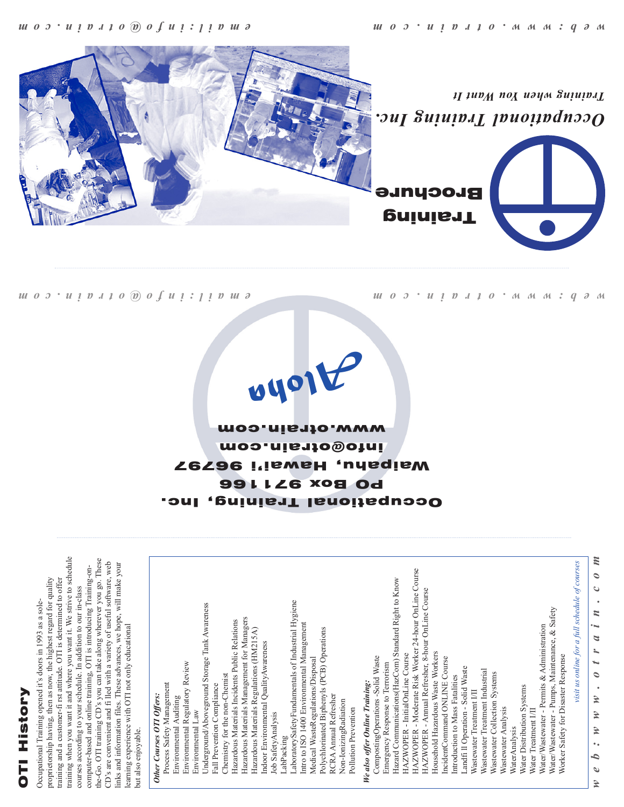### **DTI History** OTI History

training when you want it and where you want it. We strive to schedule training when you want it and where you want it. We strive to schedule the-Go. OTI training CD's you can take along wherever you go. These the-Go. OTI training CD's you can take along wherever you go. These CD's are convenient and fi lled with a variety of useful software, web CD's are convenient and fi lled with a variety of useful software, web links and information files. These advances, we hope, will make your links and information files. These advances, we hope, will make your computer-based and online training, OTI is introducing Training-oncomputer-based and online training, OTI is introducing Training-onproprietorship having, then as now, the highest regard for quality proprietorship having, then as now, the highest regard for quality training and a customer-fi rst attitude. OTI is determined to offer training and a customer-fi rst attitude. OTI is determined to offer courses according to your schedule. In addition to our in-class courses according to your schedule. In addition to our in-class Occupational Training opened it's doors in 1993 as a sole-Occupational Training opened it's doors in 1993 as a soleearning experience with OTI not only educational learning experience with OTI not only educational

Occupational Training, Inc. 991126 XO8 Od Waipahu, Hawai'i 96797 info@otrain.com www.otrain.com

*Aloha*

<u>uos uivato Sofui: jivu ə</u>

*u* 0 0 · *u i D J J* 0 · *M M M M* : *q d M* 





*Training when You Want It*

*e m a i l : i n f o @ o t r a i n . c o m w e b : w w w . o t r a i n . c o m*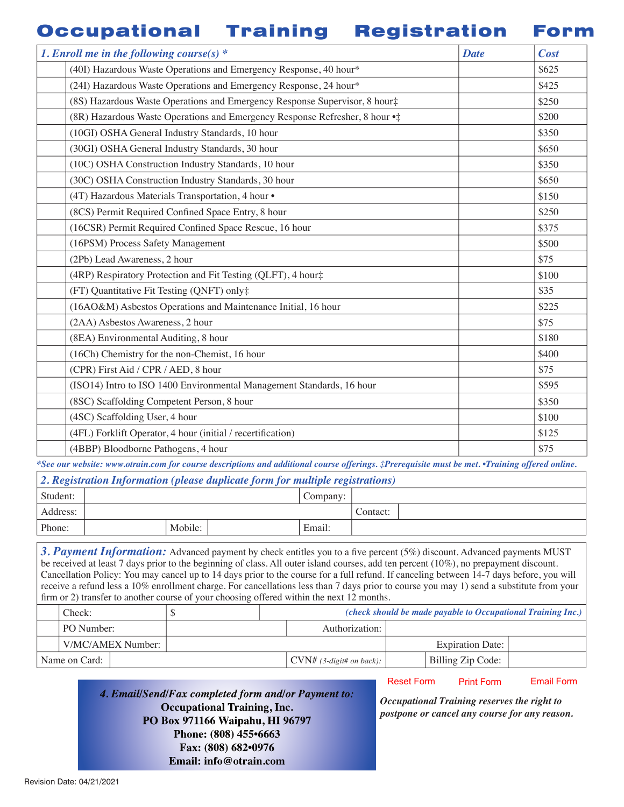#### Occupational Training Registration Form

| 1. Enroll me in the following course(s) $*$                                 | <b>Date</b> | <b>Cost</b> |
|-----------------------------------------------------------------------------|-------------|-------------|
| (40I) Hazardous Waste Operations and Emergency Response, 40 hour*           |             | \$625       |
| (24I) Hazardous Waste Operations and Emergency Response, 24 hour*           |             | \$425       |
| (8S) Hazardous Waste Operations and Emergency Response Supervisor, 8 hour‡  |             | \$250       |
| (8R) Hazardous Waste Operations and Emergency Response Refresher, 8 hour .: |             | \$200       |
| (10GI) OSHA General Industry Standards, 10 hour                             |             | \$350       |
| (30GI) OSHA General Industry Standards, 30 hour                             |             | \$650       |
| (10C) OSHA Construction Industry Standards, 10 hour                         |             | \$350       |
| (30C) OSHA Construction Industry Standards, 30 hour                         |             | \$650       |
| (4T) Hazardous Materials Transportation, 4 hour .                           |             | \$150       |
| (8CS) Permit Required Confined Space Entry, 8 hour                          |             | \$250       |
| (16CSR) Permit Required Confined Space Rescue, 16 hour                      |             | \$375       |
| (16PSM) Process Safety Management                                           |             | \$500       |
| (2Pb) Lead Awareness, 2 hour                                                |             | \$75        |
| (4RP) Respiratory Protection and Fit Testing (QLFT), 4 hour‡                |             | \$100       |
| (FT) Quantitative Fit Testing (QNFT) only#                                  |             | \$35        |
| (16AO&M) Asbestos Operations and Maintenance Initial, 16 hour               |             | \$225       |
| (2AA) Asbestos Awareness, 2 hour                                            |             | \$75        |
| (8EA) Environmental Auditing, 8 hour                                        |             | \$180       |
| (16Ch) Chemistry for the non-Chemist, 16 hour                               |             | \$400       |
| (CPR) First Aid / CPR / AED, 8 hour                                         |             | \$75        |
| (ISO14) Intro to ISO 1400 Environmental Management Standards, 16 hour       |             | \$595       |
| (8SC) Scaffolding Competent Person, 8 hour                                  |             | \$350       |
| (4SC) Scaffolding User, 4 hour                                              |             | \$100       |
| (4FL) Forklift Operator, 4 hour (initial / recertification)                 |             | \$125       |
| (4BBP) Bloodborne Pathogens, 4 hour                                         |             | \$75        |

*\*See our website: www.otrain.com for course descriptions and additional course offerings. ‡Prerequisite must be met. •Training offered online.*

| 2. Registration Information (please duplicate form for multiple registrations) |  |  |  |
|--------------------------------------------------------------------------------|--|--|--|
|                                                                                |  |  |  |
|                                                                                |  |  |  |

| Student: |         |  | Company: |          |  |
|----------|---------|--|----------|----------|--|
| Address: |         |  |          | Contact: |  |
| Phone:   | Mobile: |  | Email:   |          |  |

3. Payment Information: Advanced payment by check entitles you to a five percent (5%) discount. Advanced payments MUST be received at least 7 days prior to the beginning of class. All outer island courses, add ten percent (10%), no prepayment discount. Cancellation Policy: You may cancel up to 14 days prior to the course for a full refund. If canceling between 14-7 days before, you will receive a refund less a 10% enrollment charge. For cancellations less than 7 days prior to course you may 1) send a substitute from your firm or 2) transfer to another course of your choosing offered within the next 12 months.

| Check:        |                   |  |                                          | (check should be made payable to Occupational Training Inc.) |  |
|---------------|-------------------|--|------------------------------------------|--------------------------------------------------------------|--|
| PO Number:    |                   |  | Authorization:                           |                                                              |  |
|               | V/MC/AMEX Number: |  |                                          | <b>Expiration Date:</b>                                      |  |
| Name on Card: |                   |  | $\vert$ CVN# (3-digit# on back): $\vert$ | Billing Zip Code:                                            |  |

*4. Email/Send/Fax completed form and/or Payment to:* **Occupational Training, Inc. PO Box 971166 Waipahu, HI 96797 Phone: (808) 455•6663 Fax: (808) 682•0976 Email: info@otrain.com**

Reset Form Print Form Email Form

*Occupational Training reserves the right to postpone or cancel any course for any reason.*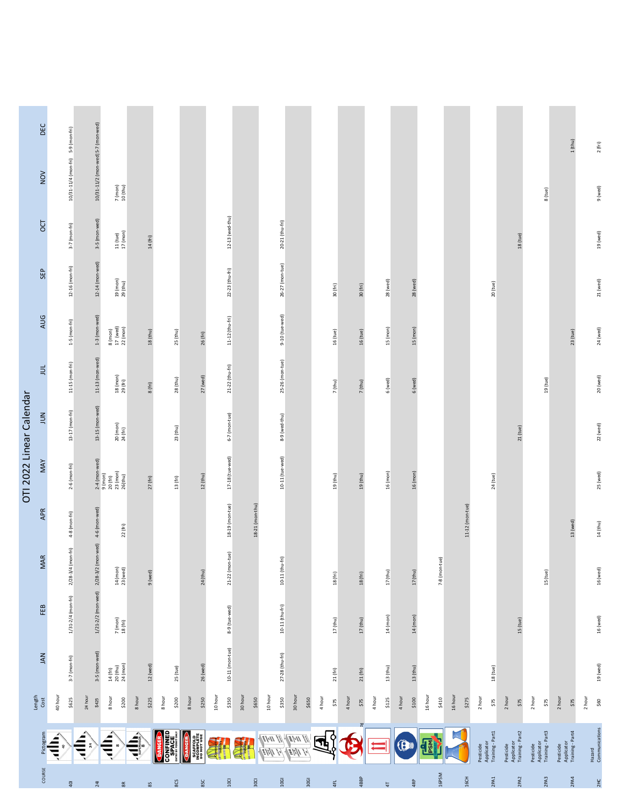|                          | DEC              |                                    |                                                     |                                                                                               |                                                                                                                                                                                                                                                                                                                                               |                                    |                                                                |                   |                  |                   |                  |       |                    |                         |                 |                 |                          |                   |                                             |                                             |                                             |                                             |                          |
|--------------------------|------------------|------------------------------------|-----------------------------------------------------|-----------------------------------------------------------------------------------------------|-----------------------------------------------------------------------------------------------------------------------------------------------------------------------------------------------------------------------------------------------------------------------------------------------------------------------------------------------|------------------------------------|----------------------------------------------------------------|-------------------|------------------|-------------------|------------------|-------|--------------------|-------------------------|-----------------|-----------------|--------------------------|-------------------|---------------------------------------------|---------------------------------------------|---------------------------------------------|---------------------------------------------|--------------------------|
|                          | $\sum_{N}$       | 10/31-11/4 (mon-fri) 5-9 (mon-fri) | 10/31-11/2 (mon-wed) 5-7 (mon-wed)                  |                                                                                               |                                                                                                                                                                                                                                                                                                                                               |                                    |                                                                |                   |                  |                   |                  |       |                    |                         |                 |                 |                          |                   |                                             |                                             |                                             | $1$ (thu)                                   | 2(fri)                   |
|                          |                  |                                    |                                                     | $\frac{7 \text{ (mon)}}{10 \text{ (thu)}}$                                                    |                                                                                                                                                                                                                                                                                                                                               |                                    |                                                                |                   |                  |                   |                  |       |                    |                         |                 |                 |                          |                   |                                             |                                             | 8 (tue)                                     |                                             | 9 (wed)                  |
|                          | DС               | $3-7$ (mon-fri)                    | 3-5 (mon-wed)                                       | $\begin{array}{c} 11 \text{ (tue)}\\ 17 \text{ (mon)} \end{array}$                            | $14~(\mathsf{fri})$                                                                                                                                                                                                                                                                                                                           |                                    |                                                                | $12-13$ (wed-thu) |                  | 20-21 (thu-fri)   |                  |       |                    |                         |                 |                 |                          |                   |                                             | $18$ (tue)                                  |                                             |                                             | 19 (wed)                 |
|                          | SEP              | $12-16$ (mon-fri)                  | $12-14$ (mon-wed)                                   | $\frac{19}{29} \frac{(mon)}{(thu)}$                                                           |                                                                                                                                                                                                                                                                                                                                               |                                    |                                                                | 22-23 (thu-fri)   |                  | $26-27$ (mon-tue) |                  |       | 30 (fri)           | 30 (fri)                | 28(wed)         | 28 (wed)        |                          |                   | 20 (tue)                                    |                                             |                                             |                                             | 21 (wed)                 |
|                          | <b>AUG</b>       | $1-5$ (mon-fri)                    | $1-3$ (mon-wed)                                     | $\begin{array}{c} 8 \; (\text{mon}) \\ 17 \; (\text{well}) \\ 22 \; (\text{mon}) \end{array}$ | $18$ (thu)                                                                                                                                                                                                                                                                                                                                    | $25$ (thu)                         | 26 (fri)                                                       | 11-12 (thu-fri)   |                  | 9-10 (tue-wed)    |                  |       | 16 (tue)           | 16 (tue)                | 15 (mon)        | 15 (mon)        |                          |                   |                                             |                                             |                                             | $23$ (tue)                                  | 24 (wed)                 |
|                          | $\exists$        | 11-15 (mon-fri)                    | 11-13 (mon-wed)                                     | $\frac{18 \;(\text{mon})}{29 \;(\text{fri})}$                                                 | 8 (fri)                                                                                                                                                                                                                                                                                                                                       | 28 (thu)                           | $27$ (wed)                                                     | 21-22 (thu-fri)   |                  | 25-26 (mon-tue)   |                  |       | 7 (thu)            | 7 (thu)                 | 6 (wed)         | 6 (wed)         |                          |                   |                                             |                                             | 19 (tue)                                    |                                             | 20 (wed)                 |
| OTI 2022 Linear Calendar | NN               | 13-17 (mon-fri)                    | 13-15 (mon-wed)                                     | 20 (mon)<br>24 (fri)                                                                          |                                                                                                                                                                                                                                                                                                                                               | 23 (thu)                           |                                                                | 6-7 (mon-tue)     |                  | 8-9 (wed-thu)     |                  |       |                    |                         |                 |                 |                          |                   |                                             | $21$ (tue)                                  |                                             |                                             | 22 (wed)                 |
|                          | MAY              | $2-6$ (mon-fri)                    |                                                     | $2-4$ (mon-weed)<br>9 (mon)<br>20 (fri)<br>23 (mon)<br>25 (th u)                              | 27(fri)                                                                                                                                                                                                                                                                                                                                       | 13 (fri)                           | $12$ (thu)                                                     | 17-18 (tue-wed)   |                  | $10-11$ (tue-wed) |                  |       | 19 (thu)           | $19$ (thu)              | 16 (mon)        | 16 (mon)        |                          |                   | 24 (tue)                                    |                                             |                                             |                                             | 25 (wed)                 |
|                          | APR              | $4-8$ (mon-fri)                    |                                                     | 22(fri)                                                                                       |                                                                                                                                                                                                                                                                                                                                               |                                    |                                                                | 18-19 (mon-tue)   | 18-21 (mon-thu)  |                   |                  |       |                    |                         |                 |                 |                          | $11-12$ (mon-tue) |                                             |                                             |                                             | 13(wed)                                     | 14 (thu)                 |
|                          | <b>MAR</b>       | $2/28 - 3/4$ (mon-fri)             | 1/21-2/2 (mon-wed) 2/28-3/2 (mon-wed) 4-6 (mon-wed) | 14 (mon)<br>23 (wed)                                                                          | 9 (wed)                                                                                                                                                                                                                                                                                                                                       |                                    | 24 (thu)                                                       | 21-22 (mon-tue)   |                  | 10-11 (thu-fri)   |                  |       | $18~(\mathrm{fm})$ | $18~(\mathrm{fm})$      | $17$ (thu)      | $17$ (thu)      | 7-8 (mon-tue)            |                   |                                             |                                             | 15 (tue)                                    |                                             | 16 (wed)                 |
|                          | FEB              | $1/31 - 2/4$ (mon-fri)             |                                                     | 7 (mon)<br>18 (fri)                                                                           |                                                                                                                                                                                                                                                                                                                                               |                                    |                                                                | 8-9 (tue-wed)     |                  | 10-11 (thu-fri)   |                  |       | 17 (thu)           | $17$ (thu)              | 14 (mon)        | 14 (mon)        |                          |                   |                                             | $15$ (tue)                                  |                                             |                                             | 16 (wed)                 |
|                          | <b>JAN</b>       | $3-7$ (mon-fri)                    | 3-5 (mon-wed)                                       | $\begin{array}{l} 14 \; \text{(fri)}\\ 20 \; \text{(th u)}\\ 24 \; \text{(mon)} \end{array}$  | $12$ (wed)                                                                                                                                                                                                                                                                                                                                    | 25 (tue)                           | 26 (wed)                                                       | $10-11$ (mon-tue) |                  | 27-28 (thu-fri)   |                  |       | 21(fri)            | $21 \, (\mathrm{fri})$  | 13 (thu)        | $13$ (thu)      |                          |                   | 18 (tue)                                    |                                             |                                             |                                             | 19 (wed)                 |
|                          | $Length$<br>Cost | 40 hour<br>\$625                   | 24 hour<br>\$425                                    | 8hour<br>\$200                                                                                | 8 hour<br>\$225                                                                                                                                                                                                                                                                                                                               | 8hour<br>\$200                     | 8 hour<br>\$250                                                | 10 hour<br>\$350  | 30 hour<br>\$650 | 10 hour<br>\$350  | 30 hour<br>\$650 | 4hour | \$75               | 4 hour<br>$$75$         | 4 hour<br>\$125 | 4 hour<br>\$100 | 16 hour<br>\$410         | 16 hour<br>\$275  | 2 hour<br>\$75                              | 2 hour<br>\$75                              | 2hour<br>\$75                               | 2 hour<br>\$75                              | 2 hour<br>\$60           |
|                          | Pictogram        | €<br>$\frac{9}{4}$                 | €<br>24                                             | $\bigoplus\limits_{i=1}^k$<br>$\infty$                                                        | $\begin{picture}(22,10) \put(0,0){\line(1,0){155}} \put(15,0){\line(1,0){155}} \put(15,0){\line(1,0){155}} \put(15,0){\line(1,0){155}} \put(15,0){\line(1,0){155}} \put(15,0){\line(1,0){155}} \put(15,0){\line(1,0){155}} \put(15,0){\line(1,0){155}} \put(15,0){\line(1,0){155}} \put(15,0){\line(1,0){155}} \put(15,0){\line(1,0){155}} \$ | <b>DANGER</b><br>CONFINED<br>SPACE | <b>SCAFFOLD<br/>INCOMPLETE<br/>DO NOT USE</b><br><b>DANGER</b> | Ronalden          | Construction     |                   |                  | 垦     | q                  | g<br>$\hat{\mathbf{P}}$ | ï               | $\mathfrak{G}$  | <b>The Second Second</b> |                   | Pesticide<br>Applicator<br>Training - Part1 | Pesticide<br>Applicator<br>Training - Part2 | Pesticide<br>Applicator<br>Training - Part3 | Applicator<br>Training - Part4<br>Pesticide | Hazard<br>Communications |
|                          | COURSE           | $\overline{q}$                     | 24                                                  | $_{\rm s}$                                                                                    | $8\bar{S}$                                                                                                                                                                                                                                                                                                                                    | SCS                                | 3SC                                                            | <b>10CI</b>       | 30CI             | $1061$            | 30GI             |       | 4FL                | 4BBP                    | $\overline{4}$  | 4RP             | 16PSM                    | 16CH              | 2PA1                                        | 2PA2                                        | 2PAS                                        | 2PA4                                        | 2H <sub>C</sub>          |